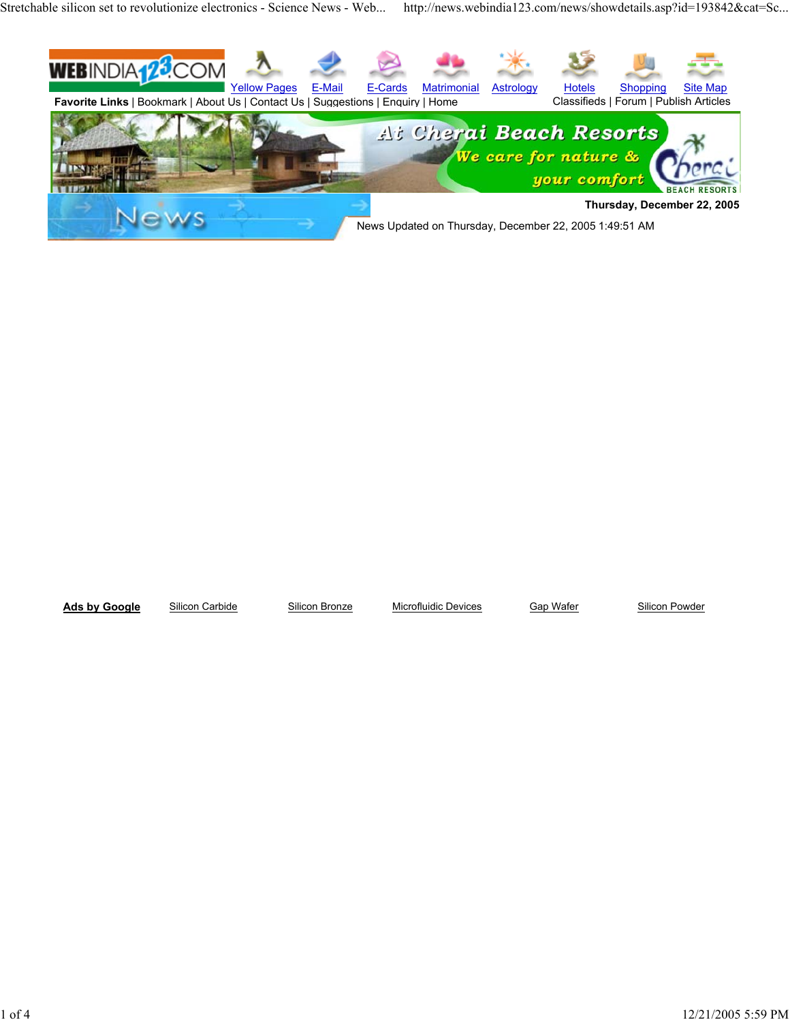Stretchable silicon set to revolutionize electronics - Science News - Web... http://news.webindia123.com/news/showdetails.asp?id=193842&cat=Sc...



Ads by Google Silicon Carbide Silicon Bronze Microfluidic Devices Gap Wafer Silicon Powder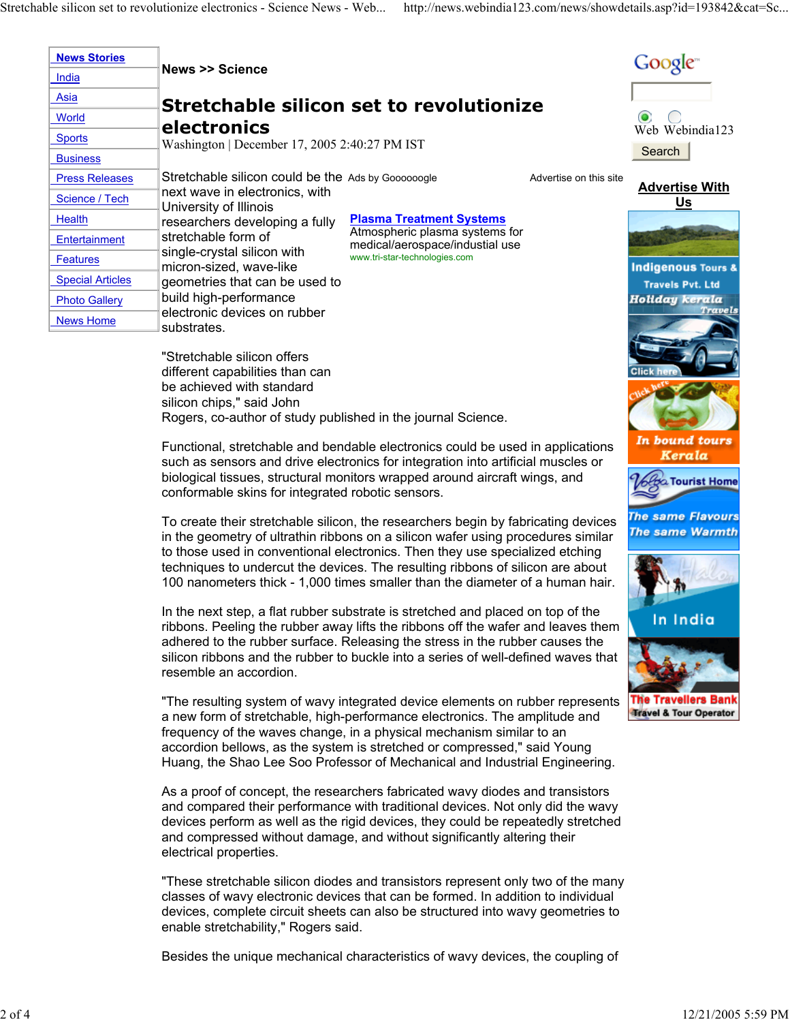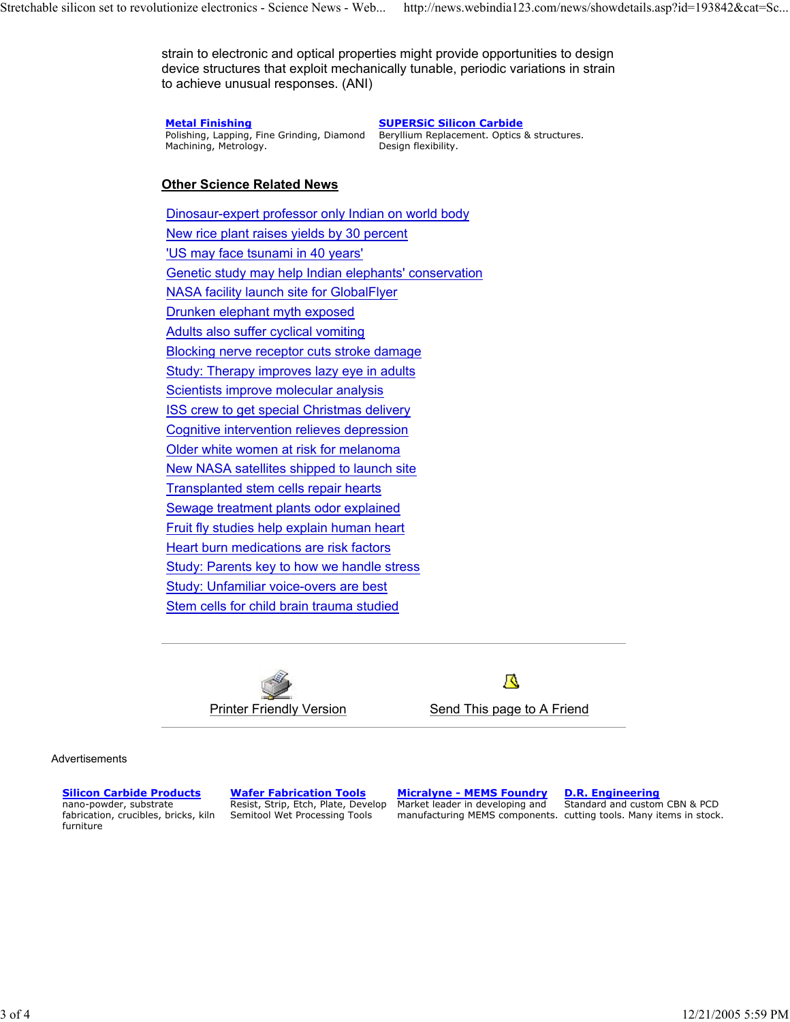strain to electronic and optical properties might provide opportunities to design device structures that exploit mechanically tunable, periodic variations in strain to achieve unusual responses. (ANI)

**Metal Finishing**

Polishing, Lapping, Fine Grinding, Diamond Machining, Metrology.

**SUPERSiC Silicon Carbide**

Beryllium Replacement. Optics & structures. Design flexibility.

## **Other Science Related News**

Dinosaur-expert professor only Indian on world body New rice plant raises yields by 30 percent 'US may face tsunami in 40 years' Genetic study may help Indian elephants' conservation NASA facility launch site for GlobalFlyer Drunken elephant myth exposed Adults also suffer cyclical vomiting Blocking nerve receptor cuts stroke damage Study: Therapy improves lazy eye in adults Scientists improve molecular analysis ISS crew to get special Christmas delivery Cognitive intervention relieves depression Older white women at risk for melanoma New NASA satellites shipped to launch site Transplanted stem cells repair hearts Sewage treatment plants odor explained Fruit fly studies help explain human heart Heart burn medications are risk factors Study: Parents key to how we handle stress Study: Unfamiliar voice-overs are best Stem cells for child brain trauma studied



А

Advertisements

**Silicon Carbide Products**

nano-powder, substrate fabrication, crucibles, bricks, kiln furniture

**Wafer Fabrication Tools** Resist, Strip, Etch, Plate, Develop Semitool Wet Processing Tools

**Micralyne - MEMS Foundry** Market leader in developing and manufacturing MEMS components. cutting tools. Many items in stock.

**D.R. Engineering** Standard and custom CBN & PCD